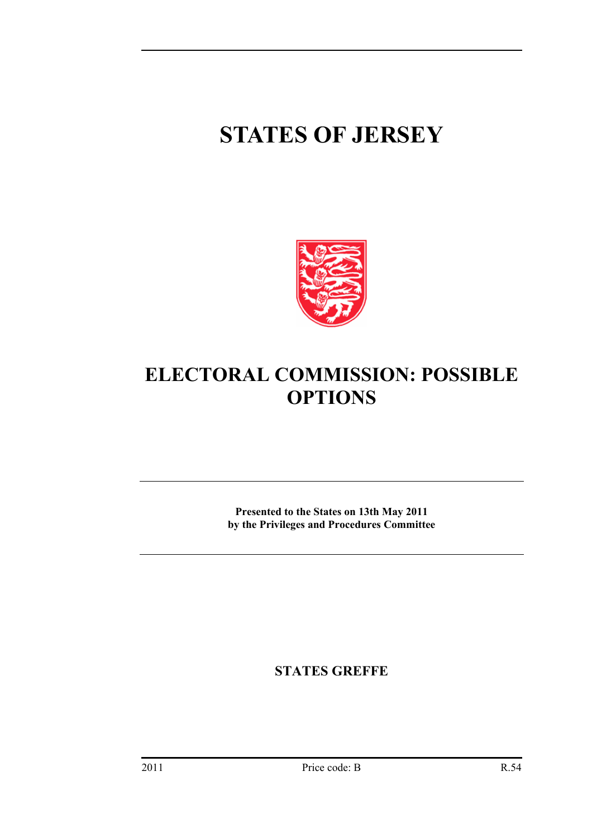# **STATES OF JERSEY**



# **ELECTORAL COMMISSION: POSSIBLE OPTIONS**

**Presented to the States on 13th May 2011 by the Privileges and Procedures Committee** 

**STATES GREFFE**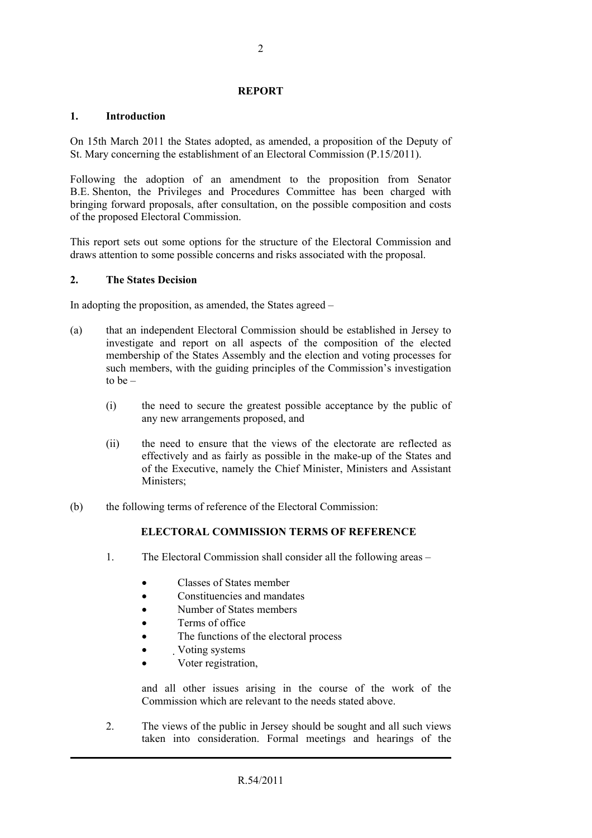#### **REPORT**

# **1. Introduction**

On 15th March 2011 the States adopted, as amended, a proposition of the Deputy of St. Mary concerning the establishment of an Electoral Commission (P.15/2011).

Following the adoption of an amendment to the proposition from Senator B.E. Shenton, the Privileges and Procedures Committee has been charged with bringing forward proposals, after consultation, on the possible composition and costs of the proposed Electoral Commission.

This report sets out some options for the structure of the Electoral Commission and draws attention to some possible concerns and risks associated with the proposal.

# **2. The States Decision**

In adopting the proposition, as amended, the States agreed –

- (a) that an independent Electoral Commission should be established in Jersey to investigate and report on all aspects of the composition of the elected membership of the States Assembly and the election and voting processes for such members, with the guiding principles of the Commission's investigation to be –
	- (i) the need to secure the greatest possible acceptance by the public of any new arrangements proposed, and
	- (ii) the need to ensure that the views of the electorate are reflected as effectively and as fairly as possible in the make-up of the States and of the Executive, namely the Chief Minister, Ministers and Assistant Ministers;
- (b) the following terms of reference of the Electoral Commission:

# **ELECTORAL COMMISSION TERMS OF REFERENCE**

- 1. The Electoral Commission shall consider all the following areas
	- Classes of States member
	- Constituencies and mandates
	- Number of States members
	- Terms of office
	- The functions of the electoral process
	- Voting systems
	- Voter registration,

and all other issues arising in the course of the work of the Commission which are relevant to the needs stated above.

2. The views of the public in Jersey should be sought and all such views taken into consideration. Formal meetings and hearings of the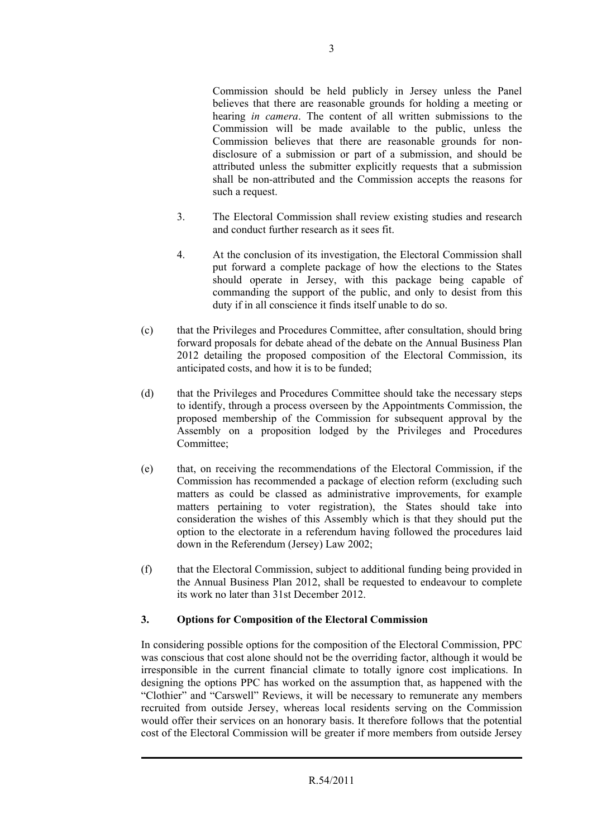Commission should be held publicly in Jersey unless the Panel believes that there are reasonable grounds for holding a meeting or hearing *in camera*. The content of all written submissions to the Commission will be made available to the public, unless the Commission believes that there are reasonable grounds for nondisclosure of a submission or part of a submission, and should be attributed unless the submitter explicitly requests that a submission shall be non-attributed and the Commission accepts the reasons for such a request.

- 3. The Electoral Commission shall review existing studies and research and conduct further research as it sees fit.
- 4. At the conclusion of its investigation, the Electoral Commission shall put forward a complete package of how the elections to the States should operate in Jersey, with this package being capable of commanding the support of the public, and only to desist from this duty if in all conscience it finds itself unable to do so.
- (c) that the Privileges and Procedures Committee, after consultation, should bring forward proposals for debate ahead of the debate on the Annual Business Plan 2012 detailing the proposed composition of the Electoral Commission, its anticipated costs, and how it is to be funded;
- (d) that the Privileges and Procedures Committee should take the necessary steps to identify, through a process overseen by the Appointments Commission, the proposed membership of the Commission for subsequent approval by the Assembly on a proposition lodged by the Privileges and Procedures Committee;
- (e) that, on receiving the recommendations of the Electoral Commission, if the Commission has recommended a package of election reform (excluding such matters as could be classed as administrative improvements, for example matters pertaining to voter registration), the States should take into consideration the wishes of this Assembly which is that they should put the option to the electorate in a referendum having followed the procedures laid down in the Referendum (Jersey) Law 2002;
- (f) that the Electoral Commission, subject to additional funding being provided in the Annual Business Plan 2012, shall be requested to endeavour to complete its work no later than 31st December 2012.

# **3. Options for Composition of the Electoral Commission**

In considering possible options for the composition of the Electoral Commission, PPC was conscious that cost alone should not be the overriding factor, although it would be irresponsible in the current financial climate to totally ignore cost implications. In designing the options PPC has worked on the assumption that, as happened with the "Clothier" and "Carswell" Reviews, it will be necessary to remunerate any members recruited from outside Jersey, whereas local residents serving on the Commission would offer their services on an honorary basis. It therefore follows that the potential cost of the Electoral Commission will be greater if more members from outside Jersey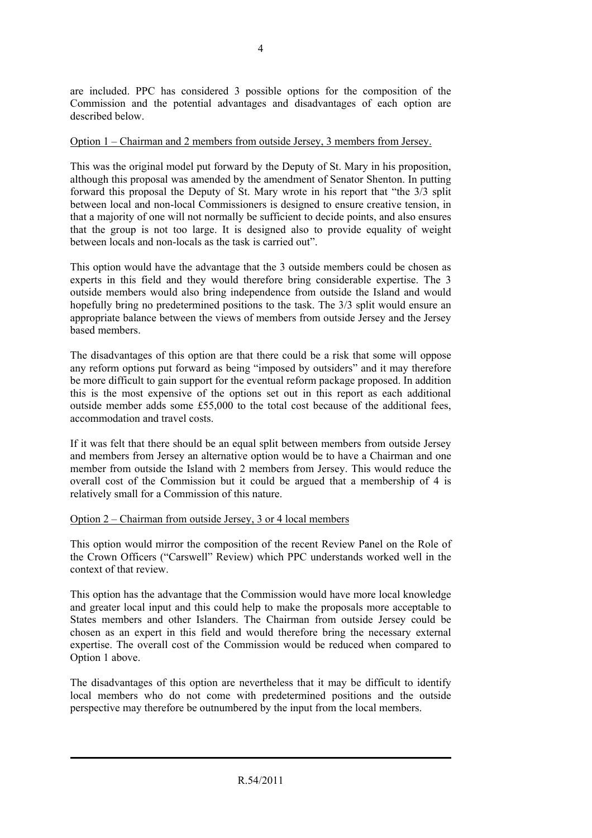are included. PPC has considered 3 possible options for the composition of the Commission and the potential advantages and disadvantages of each option are described below.

#### Option 1 – Chairman and 2 members from outside Jersey, 3 members from Jersey.

This was the original model put forward by the Deputy of St. Mary in his proposition, although this proposal was amended by the amendment of Senator Shenton. In putting forward this proposal the Deputy of St. Mary wrote in his report that "the 3/3 split between local and non-local Commissioners is designed to ensure creative tension, in that a majority of one will not normally be sufficient to decide points, and also ensures that the group is not too large. It is designed also to provide equality of weight between locals and non-locals as the task is carried out".

This option would have the advantage that the 3 outside members could be chosen as experts in this field and they would therefore bring considerable expertise. The 3 outside members would also bring independence from outside the Island and would hopefully bring no predetermined positions to the task. The 3/3 split would ensure an appropriate balance between the views of members from outside Jersey and the Jersey based members.

The disadvantages of this option are that there could be a risk that some will oppose any reform options put forward as being "imposed by outsiders" and it may therefore be more difficult to gain support for the eventual reform package proposed. In addition this is the most expensive of the options set out in this report as each additional outside member adds some £55,000 to the total cost because of the additional fees, accommodation and travel costs.

If it was felt that there should be an equal split between members from outside Jersey and members from Jersey an alternative option would be to have a Chairman and one member from outside the Island with 2 members from Jersey. This would reduce the overall cost of the Commission but it could be argued that a membership of 4 is relatively small for a Commission of this nature.

#### Option 2 – Chairman from outside Jersey, 3 or 4 local members

This option would mirror the composition of the recent Review Panel on the Role of the Crown Officers ("Carswell" Review) which PPC understands worked well in the context of that review.

This option has the advantage that the Commission would have more local knowledge and greater local input and this could help to make the proposals more acceptable to States members and other Islanders. The Chairman from outside Jersey could be chosen as an expert in this field and would therefore bring the necessary external expertise. The overall cost of the Commission would be reduced when compared to Option 1 above.

The disadvantages of this option are nevertheless that it may be difficult to identify local members who do not come with predetermined positions and the outside perspective may therefore be outnumbered by the input from the local members.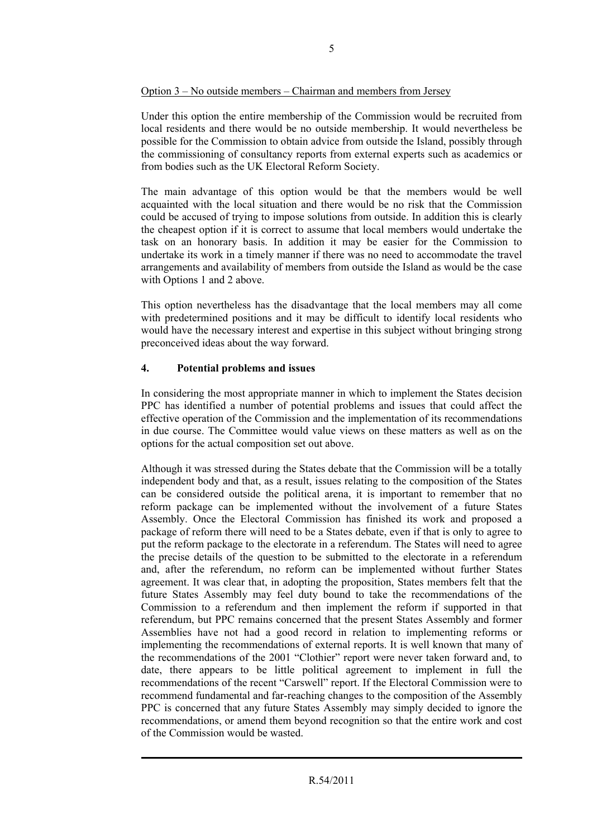#### Option 3 – No outside members – Chairman and members from Jersey

Under this option the entire membership of the Commission would be recruited from local residents and there would be no outside membership. It would nevertheless be possible for the Commission to obtain advice from outside the Island, possibly through the commissioning of consultancy reports from external experts such as academics or from bodies such as the UK Electoral Reform Society.

The main advantage of this option would be that the members would be well acquainted with the local situation and there would be no risk that the Commission could be accused of trying to impose solutions from outside. In addition this is clearly the cheapest option if it is correct to assume that local members would undertake the task on an honorary basis. In addition it may be easier for the Commission to undertake its work in a timely manner if there was no need to accommodate the travel arrangements and availability of members from outside the Island as would be the case with Options 1 and 2 above.

This option nevertheless has the disadvantage that the local members may all come with predetermined positions and it may be difficult to identify local residents who would have the necessary interest and expertise in this subject without bringing strong preconceived ideas about the way forward.

# **4. Potential problems and issues**

In considering the most appropriate manner in which to implement the States decision PPC has identified a number of potential problems and issues that could affect the effective operation of the Commission and the implementation of its recommendations in due course. The Committee would value views on these matters as well as on the options for the actual composition set out above.

Although it was stressed during the States debate that the Commission will be a totally independent body and that, as a result, issues relating to the composition of the States can be considered outside the political arena, it is important to remember that no reform package can be implemented without the involvement of a future States Assembly. Once the Electoral Commission has finished its work and proposed a package of reform there will need to be a States debate, even if that is only to agree to put the reform package to the electorate in a referendum. The States will need to agree the precise details of the question to be submitted to the electorate in a referendum and, after the referendum, no reform can be implemented without further States agreement. It was clear that, in adopting the proposition, States members felt that the future States Assembly may feel duty bound to take the recommendations of the Commission to a referendum and then implement the reform if supported in that referendum, but PPC remains concerned that the present States Assembly and former Assemblies have not had a good record in relation to implementing reforms or implementing the recommendations of external reports. It is well known that many of the recommendations of the 2001 "Clothier" report were never taken forward and, to date, there appears to be little political agreement to implement in full the recommendations of the recent "Carswell" report. If the Electoral Commission were to recommend fundamental and far-reaching changes to the composition of the Assembly PPC is concerned that any future States Assembly may simply decided to ignore the recommendations, or amend them beyond recognition so that the entire work and cost of the Commission would be wasted.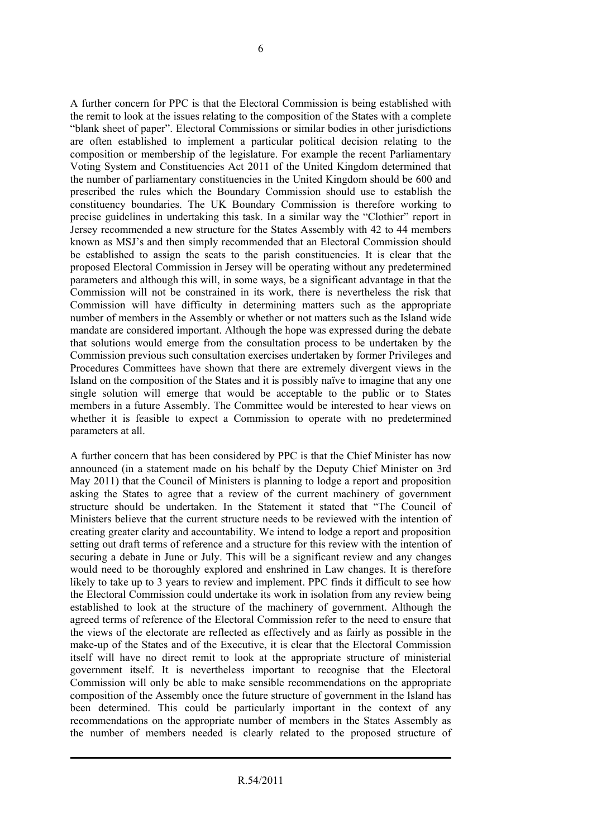A further concern for PPC is that the Electoral Commission is being established with the remit to look at the issues relating to the composition of the States with a complete "blank sheet of paper". Electoral Commissions or similar bodies in other jurisdictions are often established to implement a particular political decision relating to the composition or membership of the legislature. For example the recent Parliamentary Voting System and Constituencies Act 2011 of the United Kingdom determined that the number of parliamentary constituencies in the United Kingdom should be 600 and prescribed the rules which the Boundary Commission should use to establish the constituency boundaries. The UK Boundary Commission is therefore working to precise guidelines in undertaking this task. In a similar way the "Clothier" report in Jersey recommended a new structure for the States Assembly with 42 to 44 members known as MSJ's and then simply recommended that an Electoral Commission should be established to assign the seats to the parish constituencies. It is clear that the proposed Electoral Commission in Jersey will be operating without any predetermined parameters and although this will, in some ways, be a significant advantage in that the Commission will not be constrained in its work, there is nevertheless the risk that Commission will have difficulty in determining matters such as the appropriate number of members in the Assembly or whether or not matters such as the Island wide mandate are considered important. Although the hope was expressed during the debate that solutions would emerge from the consultation process to be undertaken by the Commission previous such consultation exercises undertaken by former Privileges and Procedures Committees have shown that there are extremely divergent views in the Island on the composition of the States and it is possibly naïve to imagine that any one single solution will emerge that would be acceptable to the public or to States members in a future Assembly. The Committee would be interested to hear views on whether it is feasible to expect a Commission to operate with no predetermined parameters at all.

A further concern that has been considered by PPC is that the Chief Minister has now announced (in a statement made on his behalf by the Deputy Chief Minister on 3rd May 2011) that the Council of Ministers is planning to lodge a report and proposition asking the States to agree that a review of the current machinery of government structure should be undertaken. In the Statement it stated that "The Council of Ministers believe that the current structure needs to be reviewed with the intention of creating greater clarity and accountability. We intend to lodge a report and proposition setting out draft terms of reference and a structure for this review with the intention of securing a debate in June or July. This will be a significant review and any changes would need to be thoroughly explored and enshrined in Law changes. It is therefore likely to take up to 3 years to review and implement. PPC finds it difficult to see how the Electoral Commission could undertake its work in isolation from any review being established to look at the structure of the machinery of government. Although the agreed terms of reference of the Electoral Commission refer to the need to ensure that the views of the electorate are reflected as effectively and as fairly as possible in the make-up of the States and of the Executive, it is clear that the Electoral Commission itself will have no direct remit to look at the appropriate structure of ministerial government itself. It is nevertheless important to recognise that the Electoral Commission will only be able to make sensible recommendations on the appropriate composition of the Assembly once the future structure of government in the Island has been determined. This could be particularly important in the context of any recommendations on the appropriate number of members in the States Assembly as the number of members needed is clearly related to the proposed structure of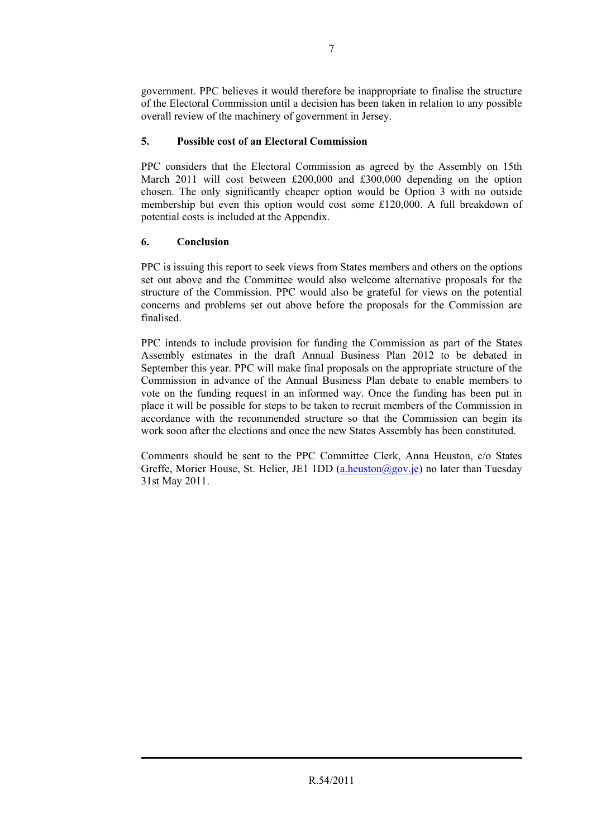government. PPC believes it would therefore be inappropriate to finalise the structure of the Electoral Commission until a decision has been taken in relation to any possible overall review of the machinery of government in Jersey.

# **5. Possible cost of an Electoral Commission**

PPC considers that the Electoral Commission as agreed by the Assembly on 15th March 2011 will cost between £200,000 and £300,000 depending on the option chosen. The only significantly cheaper option would be Option 3 with no outside membership but even this option would cost some £120,000. A full breakdown of potential costs is included at the Appendix.

# **6. Conclusion**

PPC is issuing this report to seek views from States members and others on the options set out above and the Committee would also welcome alternative proposals for the structure of the Commission. PPC would also be grateful for views on the potential concerns and problems set out above before the proposals for the Commission are finalised.

PPC intends to include provision for funding the Commission as part of the States Assembly estimates in the draft Annual Business Plan 2012 to be debated in September this year. PPC will make final proposals on the appropriate structure of the Commission in advance of the Annual Business Plan debate to enable members to vote on the funding request in an informed way. Once the funding has been put in place it will be possible for steps to be taken to recruit members of the Commission in accordance with the recommended structure so that the Commission can begin its work soon after the elections and once the new States Assembly has been constituted.

Comments should be sent to the PPC Committee Clerk, Anna Heuston, c/o States Greffe, Morier House, St. Helier, JE1 1DD (a.heuston@gov.je) no later than Tuesday 31st May 2011.